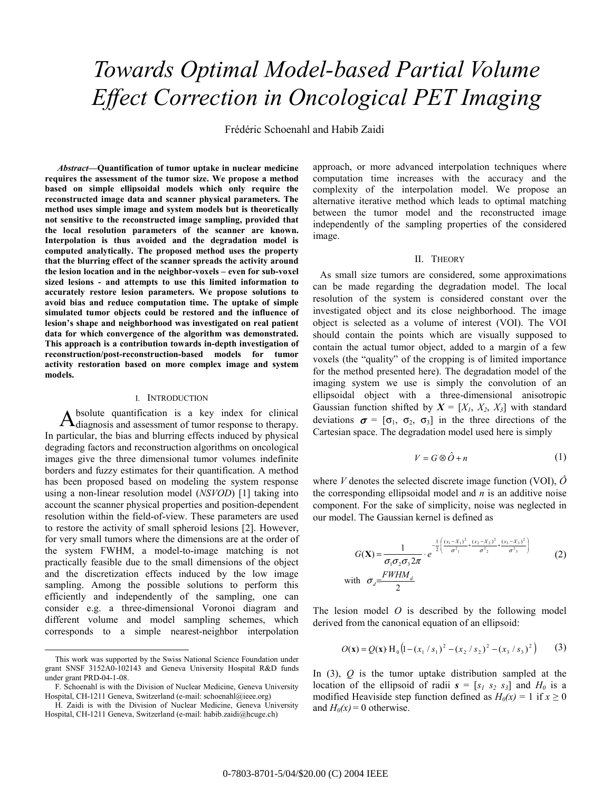# *Towards Optimal Model-based Partial Volume Effect Correction in Oncological PET Imaging*

Frédéric Schoenahl and Habib Zaidi

 *Abstract—***Quantification of tumor uptake in nuclear medicine requires the assessment of the tumor size. We propose a method based on simple ellipsoidal models which only require the reconstructed image data and scanner physical parameters. The method uses simple image and system models but is theoretically not sensitive to the reconstructed image sampling, provided that the local resolution parameters of the scanner are known. Interpolation is thus avoided and the degradation model is computed analytically. The proposed method uses the property that the blurring effect of the scanner spreads the activity around the lesion location and in the neighbor-voxels – even for sub-voxel sized lesions - and attempts to use this limited information to accurately restore lesion parameters. We propose solutions to avoid bias and reduce computation time. The uptake of simple simulated tumor objects could be restored and the influence of lesion's shape and neighborhood was investigated on real patient data for which convergence of the algorithm was demonstrated. This approach is a contribution towards in-depth investigation of reconstruction/post-reconstruction-based models for tumor activity restoration based on more complex image and system models.** 

#### I. INTRODUCTION

bsolute quantification is a key index for clinical Absolute quantification is a key index for clinical diagnosis and assessment of tumor response to therapy. In particular, the bias and blurring effects induced by physical degrading factors and reconstruction algorithms on oncological images give the three dimensional tumor volumes indefinite borders and fuzzy estimates for their quantification. A method has been proposed based on modeling the system response using a non-linear resolution model (*NSVOD*) [1] taking into account the scanner physical properties and position-dependent resolution within the field-of-view. These parameters are used to restore the activity of small spheroid lesions [2]. However, for very small tumors where the dimensions are at the order of the system FWHM, a model-to-image matching is not practically feasible due to the small dimensions of the object and the discretization effects induced by the low image sampling. Among the possible solutions to perform this efficiently and independently of the sampling, one can consider e.g. a three-dimensional Voronoi diagram and different volume and model sampling schemes, which corresponds to a simple nearest-neighbor interpolation

approach, or more advanced interpolation techniques where computation time increases with the accuracy and the complexity of the interpolation model. We propose an alternative iterative method which leads to optimal matching between the tumor model and the reconstructed image independently of the sampling properties of the considered image.

### II. THEORY

As small size tumors are considered, some approximations can be made regarding the degradation model. The local resolution of the system is considered constant over the investigated object and its close neighborhood. The image object is selected as a volume of interest (VOI). The VOI should contain the points which are visually supposed to contain the actual tumor object, added to a margin of a few voxels (the "quality" of the cropping is of limited importance for the method presented here). The degradation model of the imaging system we use is simply the convolution of an ellipsoidal object with a three-dimensional anisotropic Gaussian function shifted by  $X = [X_1, X_2, X_3]$  with standard deviations  $\sigma = [\sigma_1, \sigma_2, \sigma_3]$  in the three directions of the Cartesian space. The degradation model used here is simply

$$
V = G \otimes \hat{O} + n \tag{1}
$$

where *V* denotes the selected discrete image function (VOI), *Ô* the corresponding ellipsoidal model and *n* is an additive noise component. For the sake of simplicity, noise was neglected in our model. The Gaussian kernel is defined as

$$
G(\mathbf{X}) = \frac{1}{\sigma_1 \sigma_2 \sigma_3 2\pi} \cdot e^{-\frac{1}{2} \left( \frac{(x_1 - X_1)^2}{\sigma^2_1} + \frac{(x_2 - X_2)^2}{\sigma^2_2} + \frac{(x_3 - X_3)^2}{\sigma^2_3} \right)}
$$
(2)  
with  $\sigma_d = \frac{FWHM_d}{2}$ 

The lesion model *O* is described by the following model derived from the canonical equation of an ellipsoid:

$$
O(\mathbf{x}) = Q(\mathbf{x}) \, \mathrm{H}_0 \left( 1 - (x_1 / s_1)^2 - (x_2 / s_2)^2 - (x_3 / s_3)^2 \right) \tag{3}
$$

In (3), *Q* is the tumor uptake distribution sampled at the location of the ellipsoid of radii  $s = [s_1 \ s_2 \ s_3]$  and  $H_0$  is a modified Heaviside step function defined as  $H_0(x) = 1$  if  $x \ge 0$ and  $H_0(x) = 0$  otherwise.

This work was supported by the Swiss National Science Foundation under grant SNSF 3152A0-102143 and Geneva University Hospital R&D funds under grant PRD-04-1-08.

F. Schoenahl is with the Division of Nuclear Medicine, Geneva University Hospital, CH-1211 Geneva, Switzerland (e-mail: schoenahl@ieee.org)

H. Zaidi is with the Division of Nuclear Medicine, Geneva University Hospital, CH-1211 Geneva, Switzerland (e-mail: habib.zaidi@hcuge.ch)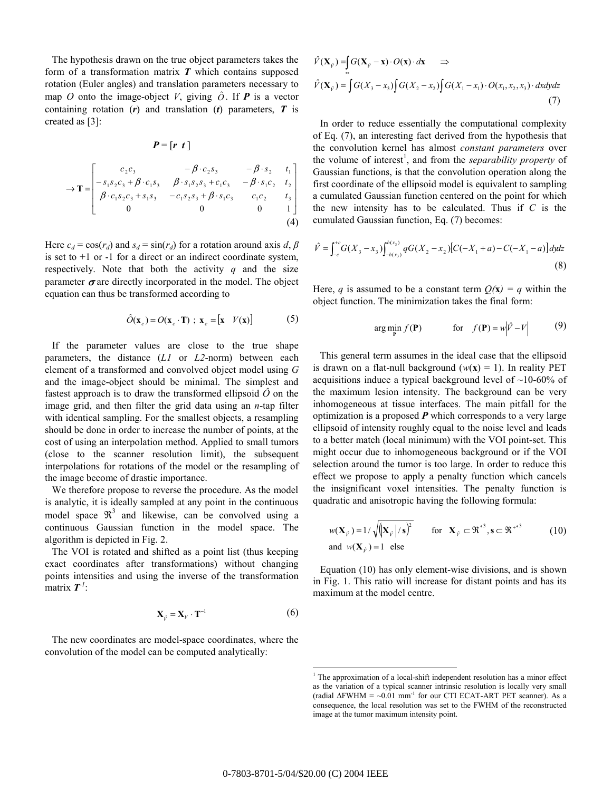The hypothesis drawn on the true object parameters takes the form of a transformation matrix *T* which contains supposed rotation (Euler angles) and translation parameters necessary to map *O* onto the image-object *V*, giving  $\hat{O}$ . If **P** is a vector containing rotation (*r*) and translation (*t*) parameters, *T* is created as [3]:

$$
P = [r \ t]
$$
  
\n
$$
\rightarrow \mathbf{T} = \begin{bmatrix} c_2 c_3 & -\beta \cdot c_2 s_3 & -\beta \cdot s_2 & t_1 \\ -s_1 s_2 c_3 + \beta \cdot c_1 s_3 & \beta \cdot s_1 s_2 s_3 + c_1 c_3 & -\beta \cdot s_1 c_2 & t_2 \\ \beta \cdot c_1 s_2 c_3 + s_1 s_3 & -c_1 s_2 s_3 + \beta \cdot s_1 c_3 & c_1 c_2 & t_3 \\ 0 & 0 & 0 & 1 \end{bmatrix}
$$
  
\n(4)

Here  $c_d = \cos(r_d)$  and  $s_d = \sin(r_d)$  for a rotation around axis *d*,  $\beta$ is set to  $+1$  or  $-1$  for a direct or an indirect coordinate system, respectively. Note that both the activity  $q$  and the size parameter  $\sigma$  are directly incorporated in the model. The object equation can thus be transformed according to

$$
\hat{O}(\mathbf{x}_e) = O(\mathbf{x}_e \cdot \mathbf{T}) \ ; \ \mathbf{x}_e = [\mathbf{x} \quad V(\mathbf{x})] \tag{5}
$$

If the parameter values are close to the true shape parameters, the distance (*L1* or *L2*-norm) between each element of a transformed and convolved object model using *G* and the image-object should be minimal. The simplest and fastest approach is to draw the transformed ellipsoid  $\hat{O}$  on the image grid, and then filter the grid data using an *n*-tap filter with identical sampling. For the smallest objects, a resampling should be done in order to increase the number of points, at the cost of using an interpolation method. Applied to small tumors (close to the scanner resolution limit), the subsequent interpolations for rotations of the model or the resampling of the image become of drastic importance.

We therefore propose to reverse the procedure. As the model is analytic, it is ideally sampled at any point in the continuous model space  $\mathfrak{R}^3$  and likewise, can be convolved using a continuous Gaussian function in the model space. The algorithm is depicted in Fig. 2.

The VOI is rotated and shifted as a point list (thus keeping exact coordinates after transformations) without changing points intensities and using the inverse of the transformation matrix  $T^I$ :

$$
\mathbf{X}_{\hat{\nu}} = \mathbf{X}_{\nu} \cdot \mathbf{T}^{-1} \tag{6}
$$

The new coordinates are model-space coordinates, where the convolution of the model can be computed analytically:

$$
\hat{V}(\mathbf{X}_{\rho}) = \int_{-\infty}^{\infty} G(\mathbf{X}_{\rho} - \mathbf{x}) \cdot O(\mathbf{x}) \cdot d\mathbf{x} \implies
$$
\n
$$
\hat{V}(\mathbf{X}_{\rho}) = \int_{-\infty}^{\infty} G(X_3 - x_3) \int_{-\infty}^{\infty} G(X_2 - x_2) \int_{-\infty}^{\infty} G(X_1 - x_1) \cdot O(x_1, x_2, x_3) \cdot dxdydz
$$
\n(7)

In order to reduce essentially the computational complexity of Eq. (7), an interesting fact derived from the hypothesis that the convolution kernel has almost *constant parameters* over the volume of interest<sup>1</sup>, and from the *separability property* of Gaussian functions, is that the convolution operation along the first coordinate of the ellipsoid model is equivalent to sampling a cumulated Gaussian function centered on the point for which the new intensity has to be calculated. Thus if *C* is the cumulated Gaussian function, Eq. (7) becomes:

$$
\hat{V} = \int_{-c}^{+c} G(X_3 - x_3) \int_{-b(x_3)}^{b(x_3)} qG(X_2 - x_2) [C(-X_1 + a) - C(-X_1 - a)] dy dz
$$
\n(8)

Here, *q* is assumed to be a constant term  $Q(x) = q$  within the object function. The minimization takes the final form:

$$
\arg\min_{\mathbf{P}} f(\mathbf{P}) \qquad \text{for} \quad f(\mathbf{P}) = w \left| \hat{V} - V \right| \tag{9}
$$

This general term assumes in the ideal case that the ellipsoid is drawn on a flat-null background  $(w(x) = 1)$ . In reality PET acquisitions induce a typical background level of ~10-60% of the maximum lesion intensity. The background can be very inhomogeneous at tissue interfaces. The main pitfall for the optimization is a proposed *P* which corresponds to a very large ellipsoid of intensity roughly equal to the noise level and leads to a better match (local minimum) with the VOI point-set. This might occur due to inhomogeneous background or if the VOI selection around the tumor is too large. In order to reduce this effect we propose to apply a penalty function which cancels the insignificant voxel intensities. The penalty function is quadratic and anisotropic having the following formula:

$$
w(\mathbf{X}_{\hat{r}})=1/\sqrt{(\mathbf{X}_{\hat{r}}/s)^2} \quad \text{for } \mathbf{X}_{\hat{r}} \subset \mathfrak{R}^{*3}, \mathbf{s} \subset \mathfrak{R}^{*3}
$$
 (10)  
and  $w(\mathbf{X}_{\hat{r}})=1$  else

Equation (10) has only element-wise divisions, and is shown in Fig. 1. This ratio will increase for distant points and has its maximum at the model centre.

 $\overline{a}$ 

<sup>&</sup>lt;sup>1</sup> The approximation of a local-shift independent resolution has a minor effect as the variation of a typical scanner intrinsic resolution is locally very small (radial  $\Delta$ FWHM = ~0.01 mm<sup>-1</sup> for our CTI ECAT-ART PET scanner). As a consequence, the local resolution was set to the FWHM of the reconstructed image at the tumor maximum intensity point.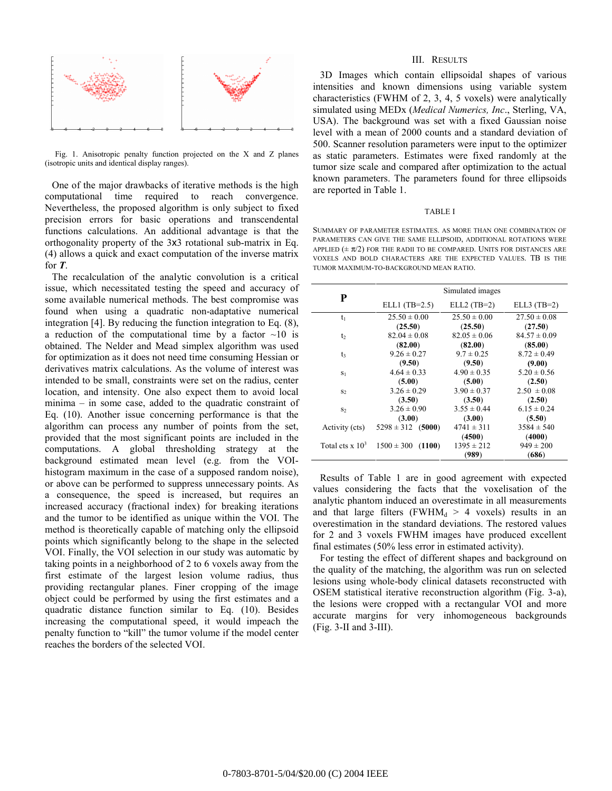

Fig. 1. Anisotropic penalty function projected on the X and Z planes (isotropic units and identical display ranges).

One of the major drawbacks of iterative methods is the high computational time required to reach convergence. Nevertheless, the proposed algorithm is only subject to fixed precision errors for basic operations and transcendental functions calculations. An additional advantage is that the orthogonality property of the 3x3 rotational sub-matrix in Eq. (4) allows a quick and exact computation of the inverse matrix for *T*.

The recalculation of the analytic convolution is a critical issue, which necessitated testing the speed and accuracy of some available numerical methods. The best compromise was found when using a quadratic non-adaptative numerical integration [4]. By reducing the function integration to Eq. (8), a reduction of the computational time by a factor  $\sim 10$  is obtained. The Nelder and Mead simplex algorithm was used for optimization as it does not need time consuming Hessian or derivatives matrix calculations. As the volume of interest was intended to be small, constraints were set on the radius, center location, and intensity. One also expect them to avoid local minima – in some case, added to the quadratic constraint of Eq. (10). Another issue concerning performance is that the algorithm can process any number of points from the set, provided that the most significant points are included in the computations. A global thresholding strategy at the background estimated mean level (e.g. from the VOIhistogram maximum in the case of a supposed random noise), or above can be performed to suppress unnecessary points. As a consequence, the speed is increased, but requires an increased accuracy (fractional index) for breaking iterations and the tumor to be identified as unique within the VOI. The method is theoretically capable of matching only the ellipsoid points which significantly belong to the shape in the selected VOI. Finally, the VOI selection in our study was automatic by taking points in a neighborhood of 2 to 6 voxels away from the first estimate of the largest lesion volume radius, thus providing rectangular planes. Finer cropping of the image object could be performed by using the first estimates and a quadratic distance function similar to Eq. (10). Besides increasing the computational speed, it would impeach the penalty function to "kill" the tumor volume if the model center reaches the borders of the selected VOI.

#### III. RESULTS

3D Images which contain ellipsoidal shapes of various intensities and known dimensions using variable system characteristics (FWHM of 2, 3, 4, 5 voxels) were analytically simulated using MEDx (*Medical Numerics, Inc*., Sterling, VA, USA). The background was set with a fixed Gaussian noise level with a mean of 2000 counts and a standard deviation of 500. Scanner resolution parameters were input to the optimizer as static parameters. Estimates were fixed randomly at the tumor size scale and compared after optimization to the actual known parameters. The parameters found for three ellipsoids are reported in Table 1.

#### TABLE I

SUMMARY OF PARAMETER ESTIMATES. AS MORE THAN ONE COMBINATION OF PARAMETERS CAN GIVE THE SAME ELLIPSOID, ADDITIONAL ROTATIONS WERE APPLIED  $(\pm \pi/2)$  for the radii to be compared. Units for distances are VOXELS AND BOLD CHARACTERS ARE THE EXPECTED VALUES. TB IS THE TUMOR MAXIMUM-TO-BACKGROUND MEAN RATIO.

| P                                  | Simulated images      |                  |                  |
|------------------------------------|-----------------------|------------------|------------------|
|                                    | ELL1 $(TB=2.5)$       | $ELL2 (TB=2)$    | ELL3 $(TB=2)$    |
| $t_1$                              | $25.50 \pm 0.00$      | $25.50 \pm 0.00$ | $27.50 \pm 0.08$ |
|                                    | (25.50)               | (25.50)          | (27.50)          |
| t <sub>2</sub>                     | $82.04 \pm 0.08$      | $82.05 \pm 0.06$ | $84.57 \pm 0.09$ |
|                                    | (82.00)               | (82.00)          | (85.00)          |
| t3                                 | $9.26 \pm 0.27$       | $9.7 \pm 0.25$   | $8.72 \pm 0.49$  |
|                                    | (9.50)                | (9.50)           | (9.00)           |
| S <sub>1</sub>                     | $4.64 \pm 0.33$       | $4.90 \pm 0.35$  | $5.20 \pm 0.56$  |
|                                    | (5.00)                | (5.00)           | (2.50)           |
| S <sub>2</sub>                     | $3.26 \pm 0.29$       | $3.90 \pm 0.37$  | $2.50 \pm 0.08$  |
|                                    | (3.50)                | (3.50)           | (2.50)           |
| S <sub>2</sub>                     | $3.26 \pm 0.90$       | $3.55 \pm 0.44$  | $6.15 \pm 0.24$  |
|                                    | (3.00)                | (3.00)           | (5.50)           |
| Activity (cts)                     | $5298 \pm 312$ (5000) | $4741 \pm 311$   | $3584 \pm 540$   |
|                                    |                       | (4500)           | (4000)           |
| Total cts $\times$ 10 <sup>3</sup> | $1500 \pm 300$ (1100) | $1395 \pm 212$   | $949 \pm 200$    |
|                                    |                       | (989)            | (686)            |

Results of Table 1 are in good agreement with expected values considering the facts that the voxelisation of the analytic phantom induced an overestimate in all measurements and that large filters (FWHM $_d > 4$  voxels) results in an overestimation in the standard deviations. The restored values for 2 and 3 voxels FWHM images have produced excellent final estimates (50% less error in estimated activity).

For testing the effect of different shapes and background on the quality of the matching, the algorithm was run on selected lesions using whole-body clinical datasets reconstructed with OSEM statistical iterative reconstruction algorithm (Fig. 3-a), the lesions were cropped with a rectangular VOI and more accurate margins for very inhomogeneous backgrounds (Fig. 3-II and 3-III).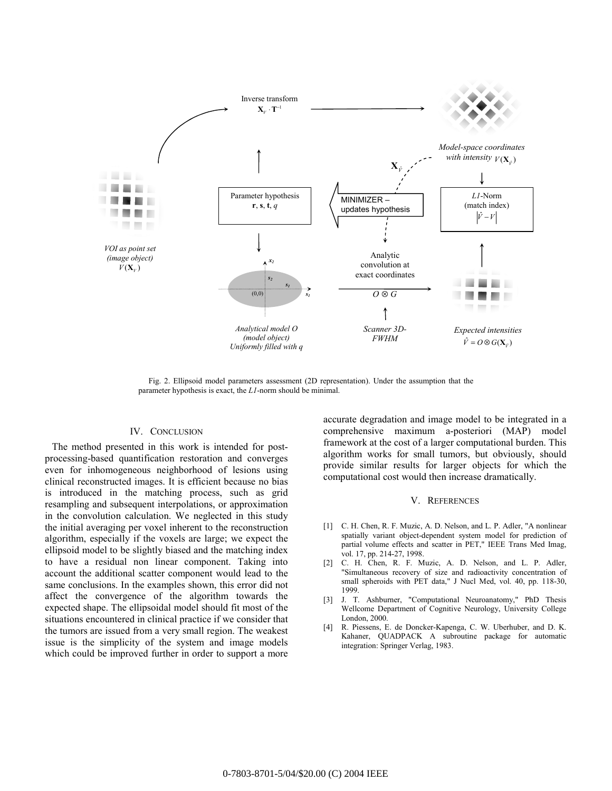

Fig. 2. Ellipsoid model parameters assessment (2D representation). Under the assumption that the parameter hypothesis is exact, the *L1*-norm should be minimal.

# IV. CONCLUSION

The method presented in this work is intended for postprocessing-based quantification restoration and converges even for inhomogeneous neighborhood of lesions using clinical reconstructed images. It is efficient because no bias is introduced in the matching process, such as grid resampling and subsequent interpolations, or approximation in the convolution calculation. We neglected in this study the initial averaging per voxel inherent to the reconstruction algorithm, especially if the voxels are large; we expect the ellipsoid model to be slightly biased and the matching index to have a residual non linear component. Taking into account the additional scatter component would lead to the same conclusions. In the examples shown, this error did not affect the convergence of the algorithm towards the expected shape. The ellipsoidal model should fit most of the situations encountered in clinical practice if we consider that the tumors are issued from a very small region. The weakest issue is the simplicity of the system and image models which could be improved further in order to support a more accurate degradation and image model to be integrated in a comprehensive maximum a-posteriori (MAP) model framework at the cost of a larger computational burden. This algorithm works for small tumors, but obviously, should provide similar results for larger objects for which the computational cost would then increase dramatically.

## V. REFERENCES

- [1] C. H. Chen, R. F. Muzic, A. D. Nelson, and L. P. Adler, "A nonlinear spatially variant object-dependent system model for prediction of partial volume effects and scatter in PET," IEEE Trans Med Imag, vol. 17, pp. 214-27, 1998.
- [2] C. H. Chen, R. F. Muzic, A. D. Nelson, and L. P. Adler, "Simultaneous recovery of size and radioactivity concentration of small spheroids with PET data," J Nucl Med, vol. 40, pp. 118-30, 1999.
- [3] J. T. Ashburner, "Computational Neuroanatomy," PhD Thesis Wellcome Department of Cognitive Neurology, University College London, 2000.
- [4] R. Piessens, E. de Doncker-Kapenga, C. W. Uberhuber, and D. K. Kahaner, QUADPACK A subroutine package for automatic integration: Springer Verlag, 1983.